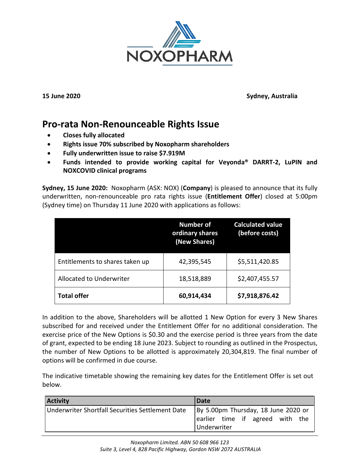

**15 June 2020 Sydney, Australia**

## **Pro-rata Non-Renounceable Rights Issue**

- **Closes fully allocated**
- **Rights issue 70% subscribed by Noxopharm shareholders**
- **Fully underwritten issue to raise \$7.919M**
- **Funds intended to provide working capital for Veyonda® DARRT-2, LuPIN and NOXCOVID clinical programs**

**Sydney, 15 June 2020:** Noxopharm (ASX: NOX) (**Company**) is pleased to announce that its fully underwritten, non-renounceable pro rata rights issue (**Entitlement Offer**) closed at 5:00pm (Sydney time) on Thursday 11 June 2020 with applications as follows:

|                                 | <b>Number of</b><br>ordinary shares<br>(New Shares) | <b>Calculated value</b><br>(before costs) |
|---------------------------------|-----------------------------------------------------|-------------------------------------------|
| Entitlements to shares taken up | 42,395,545                                          | \$5,511,420.85                            |
| Allocated to Underwriter        | 18,518,889                                          | \$2,407,455.57                            |
| <b>Total offer</b>              | 60,914,434                                          | \$7,918,876.42                            |

In addition to the above, Shareholders will be allotted 1 New Option for every 3 New Shares subscribed for and received under the Entitlement Offer for no additional consideration. The exercise price of the New Options is \$0.30 and the exercise period is three years from the date of grant, expected to be ending 18 June 2023. Subject to rounding as outlined in the Prospectus, the number of New Options to be allotted is approximately 20,304,819. The final number of options will be confirmed in due course.

The indicative timetable showing the remaining key dates for the Entitlement Offer is set out below.

| <b>Activity</b>                                  | <b>Date</b>                                                                           |
|--------------------------------------------------|---------------------------------------------------------------------------------------|
| Underwriter Shortfall Securities Settlement Date | By 5.00pm Thursday, 18 June 2020 or<br>earlier time if agreed with the<br>Underwriter |